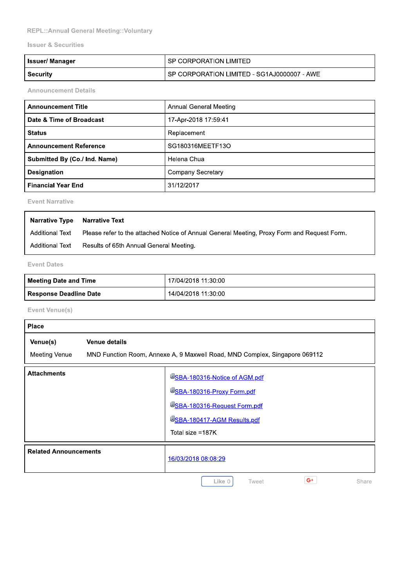## REPL:: Annual General Meeting:: Voluntary

### **Issuer & Securities**

| Issuer/ Manager | SP CORPORATION LIMITED                      |  |  |  |
|-----------------|---------------------------------------------|--|--|--|
| Security        | SP CORPORATION LIMITED - SG1AJ0000007 - AWE |  |  |  |

**Announcement Details** 

| <b>Announcement Title</b>     | <b>Annual General Meeting</b> |  |  |
|-------------------------------|-------------------------------|--|--|
| l Date & Time of Broadcast    | 17-Apr-2018 17:59:41          |  |  |
| <b>Status</b>                 | Replacement                   |  |  |
| <b>Announcement Reference</b> | SG180316MEETF13O              |  |  |
| Submitted By (Co./ Ind. Name) | Helena Chua                   |  |  |
| <b>Designation</b>            | <b>Company Secretary</b>      |  |  |
| Financial Year End            | 31/12/2017                    |  |  |

**Event Narrative** 

| <b>Narrative Type Narrative Text</b> |                                                                                             |
|--------------------------------------|---------------------------------------------------------------------------------------------|
| Additional Text                      | Please refer to the attached Notice of Annual General Meeting, Proxy Form and Request Form. |
| Additional Text                      | Results of 65th Annual General Meeting.                                                     |

### **Event Dates**

| <b>Meeting Date and Time</b> | 17/04/2018 11:30:00 |
|------------------------------|---------------------|
| ' Response Deadline Date     | 14/04/2018 11:30:00 |

Event Venue(s)

| <b>Place</b>                 |                               |                                                                            |  |  |  |
|------------------------------|-------------------------------|----------------------------------------------------------------------------|--|--|--|
| Venue(s)<br>Meeting Venue    | <b>Venue details</b>          | MND Function Room, Annexe A, 9 Maxwell Road, MND Complex, Singapore 069112 |  |  |  |
|                              |                               |                                                                            |  |  |  |
| <b>Attachments</b>           | USBA-180316-Notice of AGM.pdf |                                                                            |  |  |  |
|                              |                               | USBA-180316-Proxy Form.pdf                                                 |  |  |  |
|                              |                               | USBA-180316-Request Form.pdf                                               |  |  |  |
|                              |                               | USBA-180417-AGM Results.pdf                                                |  |  |  |
|                              |                               | Total size =187K                                                           |  |  |  |
| <b>Related Announcements</b> |                               | 16/03/2018 08:08:29                                                        |  |  |  |
|                              |                               | $G^+$<br>Like 0<br>Tweet<br>Share                                          |  |  |  |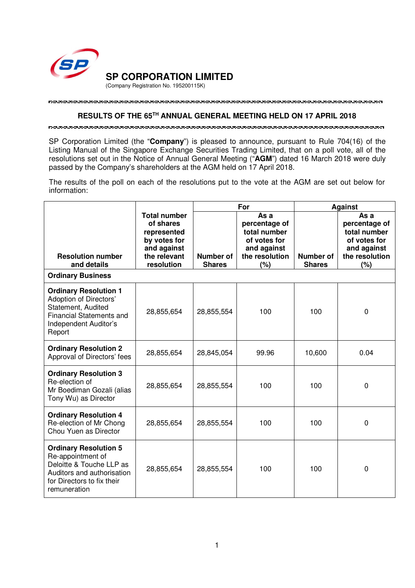

## **RESULTS OF THE 65TH ANNUAL GENERAL MEETING HELD ON 17 APRIL 2018**

SP Corporation Limited (the "**Company**") is pleased to announce, pursuant to Rule 704(16) of the Listing Manual of the Singapore Exchange Securities Trading Limited, that on a poll vote, all of the resolutions set out in the Notice of Annual General Meeting ("**AGM**") dated 16 March 2018 were duly passed by the Company's shareholders at the AGM held on 17 April 2018.

The results of the poll on each of the resolutions put to the vote at the AGM are set out below for information:

|                                                                                                                                                           |                                                                                                              | For                        |                                                                                               | <b>Against</b>             |                                                                                               |
|-----------------------------------------------------------------------------------------------------------------------------------------------------------|--------------------------------------------------------------------------------------------------------------|----------------------------|-----------------------------------------------------------------------------------------------|----------------------------|-----------------------------------------------------------------------------------------------|
| <b>Resolution number</b><br>and details                                                                                                                   | <b>Total number</b><br>of shares<br>represented<br>by votes for<br>and against<br>the relevant<br>resolution | Number of<br><b>Shares</b> | As a<br>percentage of<br>total number<br>of votes for<br>and against<br>the resolution<br>(%) | Number of<br><b>Shares</b> | As a<br>percentage of<br>total number<br>of votes for<br>and against<br>the resolution<br>(%) |
| <b>Ordinary Business</b>                                                                                                                                  |                                                                                                              |                            |                                                                                               |                            |                                                                                               |
| <b>Ordinary Resolution 1</b><br><b>Adoption of Directors'</b><br>Statement, Audited<br><b>Financial Statements and</b><br>Independent Auditor's<br>Report | 28,855,654                                                                                                   | 28,855,554                 | 100                                                                                           | 100                        | $\mathbf 0$                                                                                   |
| <b>Ordinary Resolution 2</b><br>Approval of Directors' fees                                                                                               | 28,855,654                                                                                                   | 28,845,054                 | 99.96                                                                                         | 10,600                     | 0.04                                                                                          |
| <b>Ordinary Resolution 3</b><br>Re-election of<br>Mr Boediman Gozali (alias<br>Tony Wu) as Director                                                       | 28,855,654                                                                                                   | 28,855,554                 | 100                                                                                           | 100                        | 0                                                                                             |
| <b>Ordinary Resolution 4</b><br>Re-election of Mr Chong<br>Chou Yuen as Director                                                                          | 28,855,654                                                                                                   | 28,855,554                 | 100                                                                                           | 100                        | 0                                                                                             |
| <b>Ordinary Resolution 5</b><br>Re-appointment of<br>Deloitte & Touche LLP as<br>Auditors and authorisation<br>for Directors to fix their<br>remuneration | 28,855,654                                                                                                   | 28,855,554                 | 100                                                                                           | 100                        | 0                                                                                             |